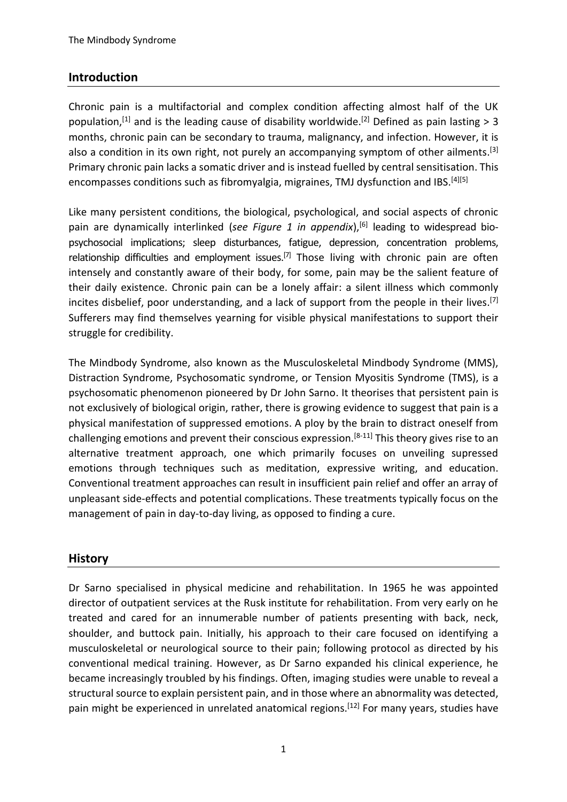#### **Introduction**

Chronic pain is a multifactorial and complex condition affecting almost half of the UK population,<sup>[1]</sup> and is the leading cause of disability worldwide.<sup>[2]</sup> Defined as pain lasting > 3 months, chronic pain can be secondary to trauma, malignancy, and infection. However, it is also a condition in its own right, not purely an accompanying symptom of other ailments.<sup>[3]</sup> Primary chronic pain lacks a somatic driver and is instead fuelled by central sensitisation. This encompasses conditions such as fibromyalgia, migraines, TMJ dysfunction and IBS.<sup>[4][5]</sup>

Like many persistent conditions, the biological, psychological, and social aspects of chronic pain are dynamically interlinked (*see Figure 1 in appendix*), [6] leading to widespread biopsychosocial implications; sleep disturbances, fatigue, depression, concentration problems, relationship difficulties and employment issues.<sup>[7]</sup> Those living with chronic pain are often intensely and constantly aware of their body, for some, pain may be the salient feature of their daily existence. Chronic pain can be a lonely affair: a silent illness which commonly incites disbelief, poor understanding, and a lack of support from the people in their lives.<sup>[7]</sup> Sufferers may find themselves yearning for visible physical manifestations to support their struggle for credibility.

The Mindbody Syndrome, also known as the Musculoskeletal Mindbody Syndrome (MMS), Distraction Syndrome, Psychosomatic syndrome, or Tension Myositis Syndrome (TMS), is a psychosomatic phenomenon pioneered by Dr John Sarno. It theorises that persistent pain is not exclusively of biological origin, rather, there is growing evidence to suggest that pain is a physical manifestation of suppressed emotions. A ploy by the brain to distract oneself from challenging emotions and prevent their conscious expression.[8-11] This theory gives rise to an alternative treatment approach, one which primarily focuses on unveiling supressed emotions through techniques such as meditation, expressive writing, and education. Conventional treatment approaches can result in insufficient pain relief and offer an array of unpleasant side-effects and potential complications. These treatments typically focus on the management of pain in day-to-day living, as opposed to finding a cure.

#### **History**

Dr Sarno specialised in physical medicine and rehabilitation. In 1965 he was appointed director of outpatient services at the Rusk institute for rehabilitation. From very early on he treated and cared for an innumerable number of patients presenting with back, neck, shoulder, and buttock pain. Initially, his approach to their care focused on identifying a musculoskeletal or neurological source to their pain; following protocol as directed by his conventional medical training. However, as Dr Sarno expanded his clinical experience, he became increasingly troubled by his findings. Often, imaging studies were unable to reveal a structural source to explain persistent pain, and in those where an abnormality was detected, pain might be experienced in unrelated anatomical regions.<sup>[12]</sup> For many years, studies have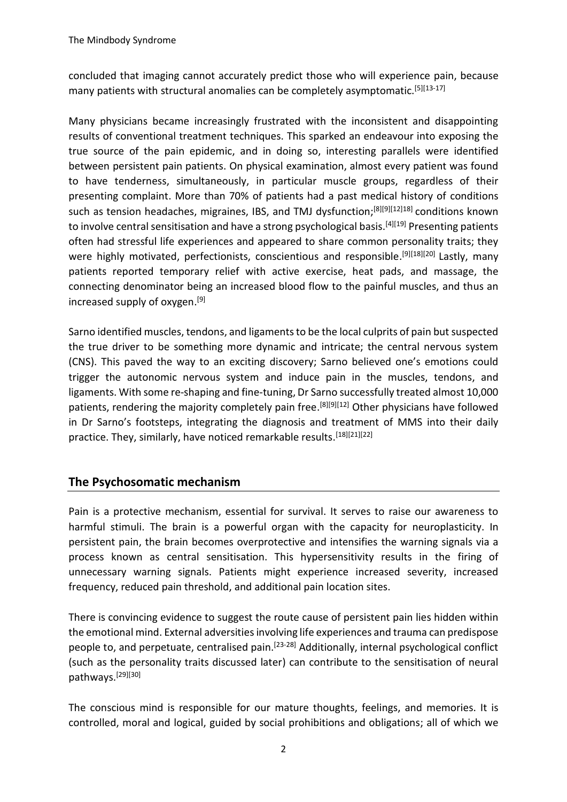concluded that imaging cannot accurately predict those who will experience pain, because many patients with structural anomalies can be completely asymptomatic.<sup>[5][13-17]</sup>

Many physicians became increasingly frustrated with the inconsistent and disappointing results of conventional treatment techniques. This sparked an endeavour into exposing the true source of the pain epidemic, and in doing so, interesting parallels were identified between persistent pain patients. On physical examination, almost every patient was found to have tenderness, simultaneously, in particular muscle groups, regardless of their presenting complaint. More than 70% of patients had a past medical history of conditions such as tension headaches, migraines, IBS, and TMJ dysfunction;<sup>[8][9][12]18]</sup> conditions known to involve central sensitisation and have a strong psychological basis.<sup>[4][19]</sup> Presenting patients often had stressful life experiences and appeared to share common personality traits; they were highly motivated, perfectionists, conscientious and responsible.<sup>[9][18][20]</sup> Lastly, many patients reported temporary relief with active exercise, heat pads, and massage, the connecting denominator being an increased blood flow to the painful muscles, and thus an increased supply of oxygen. [9]

Sarno identified muscles, tendons, and ligaments to be the local culprits of pain but suspected the true driver to be something more dynamic and intricate; the central nervous system (CNS). This paved the way to an exciting discovery; Sarno believed one's emotions could trigger the autonomic nervous system and induce pain in the muscles, tendons, and ligaments. With some re-shaping and fine-tuning, Dr Sarno successfully treated almost 10,000 patients, rendering the majority completely pain free.<sup>[8][9][12]</sup> Other physicians have followed in Dr Sarno's footsteps, integrating the diagnosis and treatment of MMS into their daily practice. They, similarly, have noticed remarkable results.<sup>[18][21][22]</sup>

#### **The Psychosomatic mechanism**

Pain is a protective mechanism, essential for survival. It serves to raise our awareness to harmful stimuli. The brain is a powerful organ with the capacity for neuroplasticity. In persistent pain, the brain becomes overprotective and intensifies the warning signals via a process known as central sensitisation. This hypersensitivity results in the firing of unnecessary warning signals. Patients might experience increased severity, increased frequency, reduced pain threshold, and additional pain location sites.

There is convincing evidence to suggest the route cause of persistent pain lies hidden within the emotional mind. External adversities involving life experiences and trauma can predispose people to, and perpetuate, centralised pain.<sup>[23-28]</sup> Additionally, internal psychological conflict (such as the personality traits discussed later) can contribute to the sensitisation of neural pathways.[29][30]

The conscious mind is responsible for our mature thoughts, feelings, and memories. It is controlled, moral and logical, guided by social prohibitions and obligations; all of which we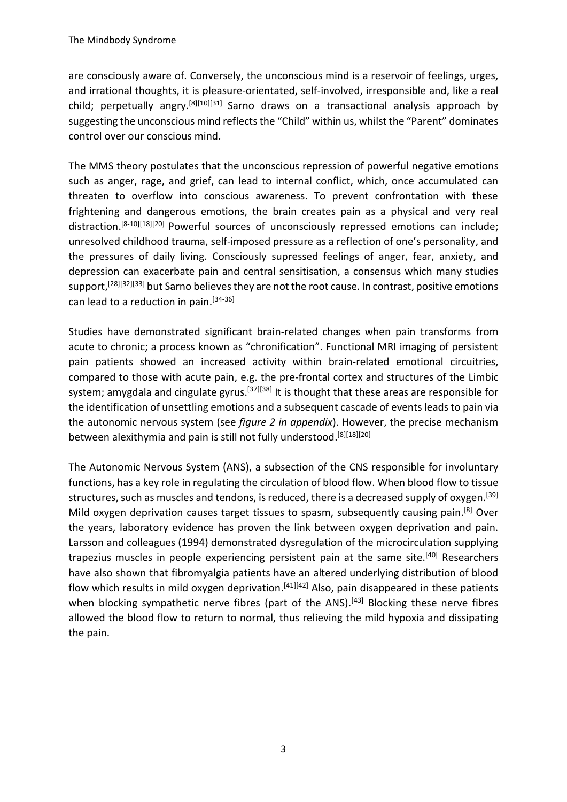are consciously aware of. Conversely, the unconscious mind is a reservoir of feelings, urges, and irrational thoughts, it is pleasure-orientated, self-involved, irresponsible and, like a real child; perpetually angry.<sup>[8][10][31]</sup> Sarno draws on a transactional analysis approach by suggesting the unconscious mind reflects the "Child" within us, whilst the "Parent" dominates control over our conscious mind.

The MMS theory postulates that the unconscious repression of powerful negative emotions such as anger, rage, and grief, can lead to internal conflict, which, once accumulated can threaten to overflow into conscious awareness. To prevent confrontation with these frightening and dangerous emotions, the brain creates pain as a physical and very real distraction.<sup>[8-10][18][20]</sup> Powerful sources of unconsciously repressed emotions can include; unresolved childhood trauma, self-imposed pressure as a reflection of one's personality, and the pressures of daily living. Consciously supressed feelings of anger, fear, anxiety, and depression can exacerbate pain and central sensitisation, a consensus which many studies support,<sup>[28][32][33]</sup> but Sarno believes they are not the root cause. In contrast, positive emotions can lead to a reduction in pain.<sup>[34-36]</sup>

Studies have demonstrated significant brain-related changes when pain transforms from acute to chronic; a process known as "chronification". Functional MRI imaging of persistent pain patients showed an increased activity within brain-related emotional circuitries, compared to those with acute pain, e.g. the pre-frontal cortex and structures of the Limbic system; amygdala and cingulate gyrus.<sup>[37][38]</sup> It is thought that these areas are responsible for the identification of unsettling emotions and a subsequent cascade of events leads to pain via the autonomic nervous system (see *figure 2 in appendix*). However, the precise mechanism between alexithymia and pain is still not fully understood.<sup>[8][18][20]</sup>

The Autonomic Nervous System (ANS), a subsection of the CNS responsible for involuntary functions, has a key role in regulating the circulation of blood flow. When blood flow to tissue structures, such as muscles and tendons, is reduced, there is a decreased supply of oxygen.<sup>[39]</sup> Mild oxygen deprivation causes target tissues to spasm, subsequently causing pain.<sup>[8]</sup> Over the years, laboratory evidence has proven the link between oxygen deprivation and pain. Larsson and colleagues (1994) demonstrated dysregulation of the microcirculation supplying trapezius muscles in people experiencing persistent pain at the same site.<sup>[40]</sup> Researchers have also shown that fibromyalgia patients have an altered underlying distribution of blood flow which results in mild oxygen deprivation.<sup>[41][42]</sup> Also, pain disappeared in these patients when blocking sympathetic nerve fibres (part of the ANS).<sup>[43]</sup> Blocking these nerve fibres allowed the blood flow to return to normal, thus relieving the mild hypoxia and dissipating the pain.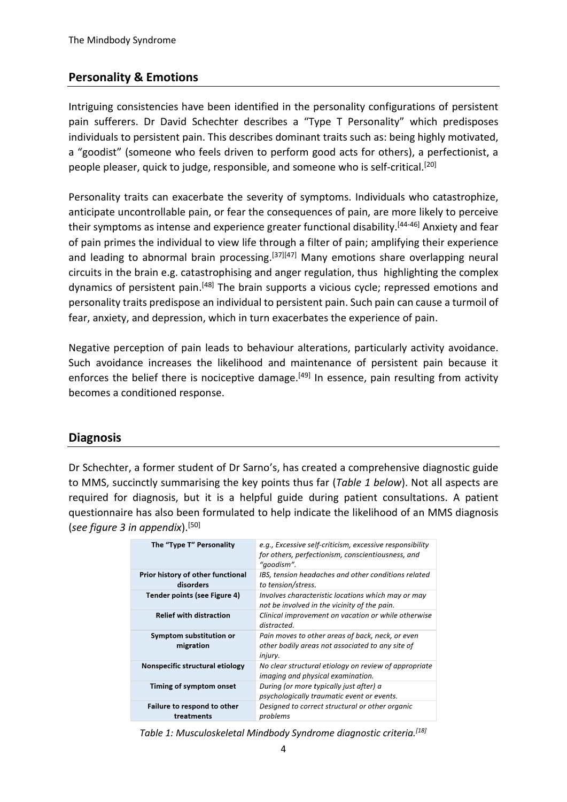## **Personality & Emotions**

Intriguing consistencies have been identified in the personality configurations of persistent pain sufferers. Dr David Schechter describes a "Type T Personality" which predisposes individuals to persistent pain. This describes dominant traits such as: being highly motivated, a "goodist" (someone who feels driven to perform good acts for others), a perfectionist, a people pleaser, quick to judge, responsible, and someone who is self-critical.<sup>[20]</sup>

Personality traits can exacerbate the severity of symptoms. Individuals who catastrophize, anticipate uncontrollable pain, or fear the consequences of pain, are more likely to perceive their symptoms as intense and experience greater functional disability.<sup>[44-46]</sup> Anxiety and fear of pain primes the individual to view life through a filter of pain; amplifying their experience and leading to abnormal brain processing.<sup>[37][47]</sup> Many emotions share overlapping neural circuits in the brain e.g. catastrophising and anger regulation, thus highlighting the complex dynamics of persistent pain.<sup>[48]</sup> The brain supports a vicious cycle; repressed emotions and personality traits predispose an individual to persistent pain. Such pain can cause a turmoil of fear, anxiety, and depression, which in turn exacerbates the experience of pain.

Negative perception of pain leads to behaviour alterations, particularly activity avoidance. Such avoidance increases the likelihood and maintenance of persistent pain because it enforces the belief there is nociceptive damage.<sup>[49]</sup> In essence, pain resulting from activity becomes a conditioned response.

## **Diagnosis**

Dr Schechter, a former student of Dr Sarno's, has created a comprehensive diagnostic guide to MMS, succinctly summarising the key points thus far (*Table 1 below*). Not all aspects are required for diagnosis, but it is a helpful guide during patient consultations. A patient questionnaire has also been formulated to help indicate the likelihood of an MMS diagnosis (*see figure 3 in appendix*). [50]

| The "Type T" Personality                       | e.g., Excessive self-criticism, excessive responsibility<br>for others, perfectionism, conscientiousness, and<br>"qoodism". |
|------------------------------------------------|-----------------------------------------------------------------------------------------------------------------------------|
| Prior history of other functional<br>disorders | IBS, tension headaches and other conditions related<br>to tension/stress.                                                   |
| Tender points (see Figure 4)                   | Involves characteristic locations which may or may<br>not be involved in the vicinity of the pain.                          |
| <b>Relief with distraction</b>                 | Clinical improvement on vacation or while otherwise<br>distracted.                                                          |
| Symptom substitution or<br>migration           | Pain moves to other areas of back, neck, or even<br>other bodily areas not associated to any site of<br><i>injury.</i>      |
| Nonspecific structural etiology                | No clear structural etiology on review of appropriate<br>imaging and physical examination.                                  |
| Timing of symptom onset                        | During (or more typically just after) a<br>psychologically traumatic event or events.                                       |
| Failure to respond to other<br>treatments      | Designed to correct structural or other organic<br>problems                                                                 |

*Table 1: Musculoskeletal Mindbody Syndrome diagnostic criteria. [18]*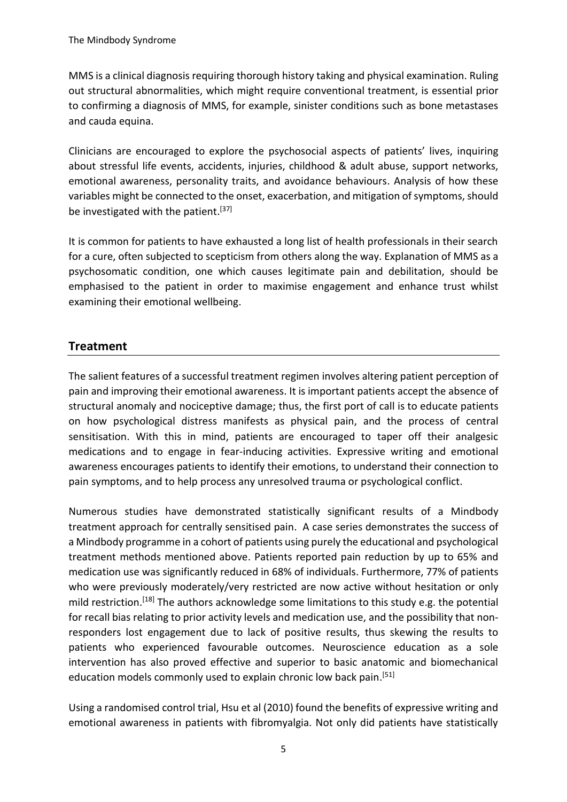MMS is a clinical diagnosis requiring thorough history taking and physical examination. Ruling out structural abnormalities, which might require conventional treatment, is essential prior to confirming a diagnosis of MMS, for example, sinister conditions such as bone metastases and cauda equina.

Clinicians are encouraged to explore the psychosocial aspects of patients' lives, inquiring about stressful life events, accidents, injuries, childhood & adult abuse, support networks, emotional awareness, personality traits, and avoidance behaviours. Analysis of how these variables might be connected to the onset, exacerbation, and mitigation of symptoms, should be investigated with the patient.<sup>[37]</sup>

It is common for patients to have exhausted a long list of health professionals in their search for a cure, often subjected to scepticism from others along the way. Explanation of MMS as a psychosomatic condition, one which causes legitimate pain and debilitation, should be emphasised to the patient in order to maximise engagement and enhance trust whilst examining their emotional wellbeing.

## **Treatment**

The salient features of a successful treatment regimen involves altering patient perception of pain and improving their emotional awareness. It is important patients accept the absence of structural anomaly and nociceptive damage; thus, the first port of call is to educate patients on how psychological distress manifests as physical pain, and the process of central sensitisation. With this in mind, patients are encouraged to taper off their analgesic medications and to engage in fear-inducing activities. Expressive writing and emotional awareness encourages patients to identify their emotions, to understand their connection to pain symptoms, and to help process any unresolved trauma or psychological conflict.

Numerous studies have demonstrated statistically significant results of a Mindbody treatment approach for centrally sensitised pain. A case series demonstrates the success of a Mindbody programme in a cohort of patients using purely the educational and psychological treatment methods mentioned above. Patients reported pain reduction by up to 65% and medication use was significantly reduced in 68% of individuals. Furthermore, 77% of patients who were previously moderately/very restricted are now active without hesitation or only mild restriction.<sup>[18]</sup> The authors acknowledge some limitations to this study e.g. the potential for recall bias relating to prior activity levels and medication use, and the possibility that nonresponders lost engagement due to lack of positive results, thus skewing the results to patients who experienced favourable outcomes. Neuroscience education as a sole intervention has also proved effective and superior to basic anatomic and biomechanical education models commonly used to explain chronic low back pain.<sup>[51]</sup>

Using a randomised control trial, Hsu et al (2010) found the benefits of expressive writing and emotional awareness in patients with fibromyalgia. Not only did patients have statistically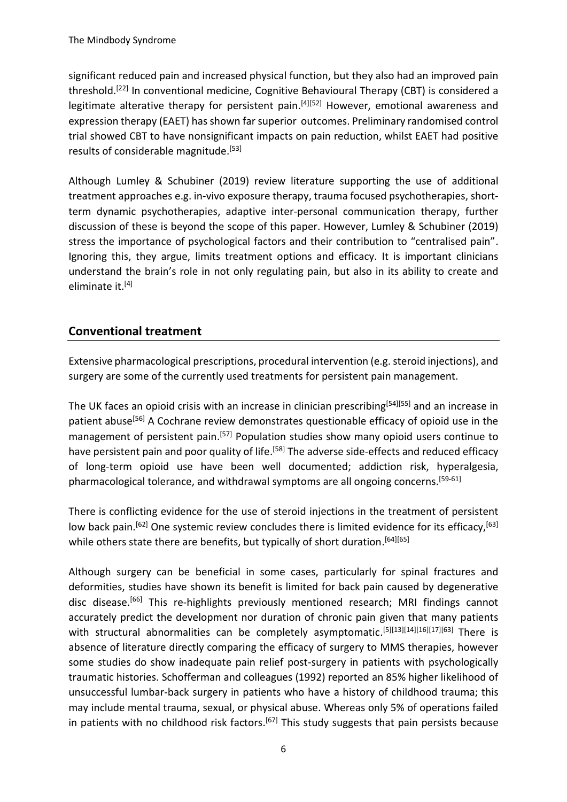significant reduced pain and increased physical function, but they also had an improved pain threshold.<sup>[22]</sup> In conventional medicine, Cognitive Behavioural Therapy (CBT) is considered a legitimate alterative therapy for persistent pain.<sup>[4][52]</sup> However, emotional awareness and expression therapy (EAET) has shown far superior outcomes. Preliminary randomised control trial showed CBT to have nonsignificant impacts on pain reduction, whilst EAET had positive results of considerable magnitude.<sup>[53]</sup>

Although Lumley & Schubiner (2019) review literature supporting the use of additional treatment approaches e.g. in-vivo exposure therapy, trauma focused psychotherapies, shortterm dynamic psychotherapies, adaptive inter-personal communication therapy, further discussion of these is beyond the scope of this paper. However, Lumley & Schubiner (2019) stress the importance of psychological factors and their contribution to "centralised pain". Ignoring this, they argue, limits treatment options and efficacy. It is important clinicians understand the brain's role in not only regulating pain, but also in its ability to create and eliminate it.<sup>[4]</sup>

## **Conventional treatment**

Extensive pharmacological prescriptions, procedural intervention (e.g. steroid injections), and surgery are some of the currently used treatments for persistent pain management.

The UK faces an opioid crisis with an increase in clinician prescribing<sup>[54][55]</sup> and an increase in patient abuse<sup>[56]</sup> A Cochrane review demonstrates questionable efficacy of opioid use in the management of persistent pain.<sup>[57]</sup> Population studies show many opioid users continue to have persistent pain and poor quality of life.<sup>[58]</sup> The adverse side-effects and reduced efficacy of long-term opioid use have been well documented; addiction risk, hyperalgesia, pharmacological tolerance, and withdrawal symptoms are all ongoing concerns.<sup>[59-61]</sup>

There is conflicting evidence for the use of steroid injections in the treatment of persistent low back pain.<sup>[62]</sup> One systemic review concludes there is limited evidence for its efficacy,<sup>[63]</sup> while others state there are benefits, but typically of short duration.<sup>[64][65]</sup>

Although surgery can be beneficial in some cases, particularly for spinal fractures and deformities, studies have shown its benefit is limited for back pain caused by degenerative disc disease.<sup>[66]</sup> This re-highlights previously mentioned research; MRI findings cannot accurately predict the development nor duration of chronic pain given that many patients with structural abnormalities can be completely asymptomatic.<sup>[5][13][14][16][17][63]</sup> There is absence of literature directly comparing the efficacy of surgery to MMS therapies, however some studies do show inadequate pain relief post-surgery in patients with psychologically traumatic histories. Schofferman and colleagues (1992) reported an 85% higher likelihood of unsuccessful lumbar-back surgery in patients who have a history of childhood trauma; this may include mental trauma, sexual, or physical abuse. Whereas only 5% of operations failed in patients with no childhood risk factors.<sup>[67]</sup> This study suggests that pain persists because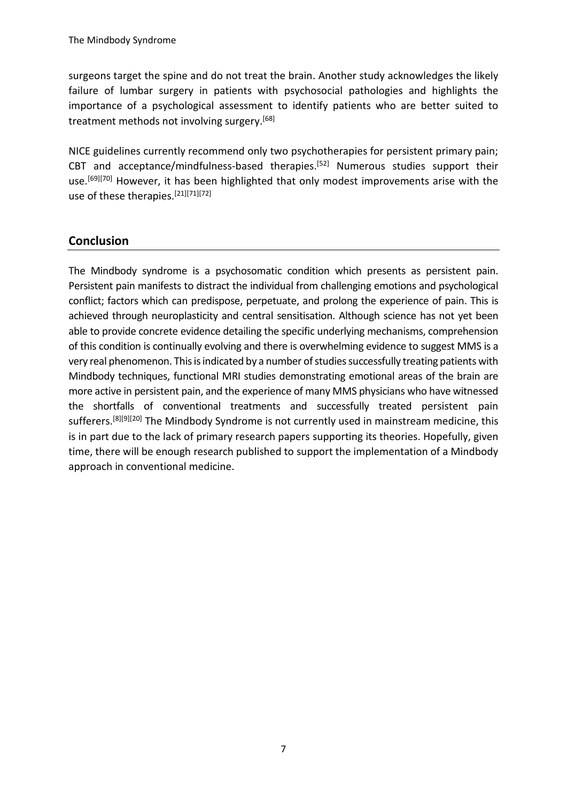The Mindbody Syndrome

surgeons target the spine and do not treat the brain. Another study acknowledges the likely failure of lumbar surgery in patients with psychosocial pathologies and highlights the importance of a psychological assessment to identify patients who are better suited to treatment methods not involving surgery.<sup>[68]</sup>

NICE guidelines currently recommend only two psychotherapies for persistent primary pain; CBT and acceptance/mindfulness-based therapies.<sup>[52]</sup> Numerous studies support their use.<sup>[69][70]</sup> However, it has been highlighted that only modest improvements arise with the use of these therapies. [21][71][72]

#### **Conclusion**

The Mindbody syndrome is a psychosomatic condition which presents as persistent pain. Persistent pain manifests to distract the individual from challenging emotions and psychological conflict; factors which can predispose, perpetuate, and prolong the experience of pain. This is achieved through neuroplasticity and central sensitisation. Although science has not yet been able to provide concrete evidence detailing the specific underlying mechanisms, comprehension of this condition is continually evolving and there is overwhelming evidence to suggest MMS is a very real phenomenon. This is indicated by a number of studies successfully treating patients with Mindbody techniques, functional MRI studies demonstrating emotional areas of the brain are more active in persistent pain, and the experience of many MMS physicians who have witnessed the shortfalls of conventional treatments and successfully treated persistent pain sufferers.<sup>[8][9][20]</sup> The Mindbody Syndrome is not currently used in mainstream medicine, this is in part due to the lack of primary research papers supporting its theories. Hopefully, given time, there will be enough research published to support the implementation of a Mindbody approach in conventional medicine.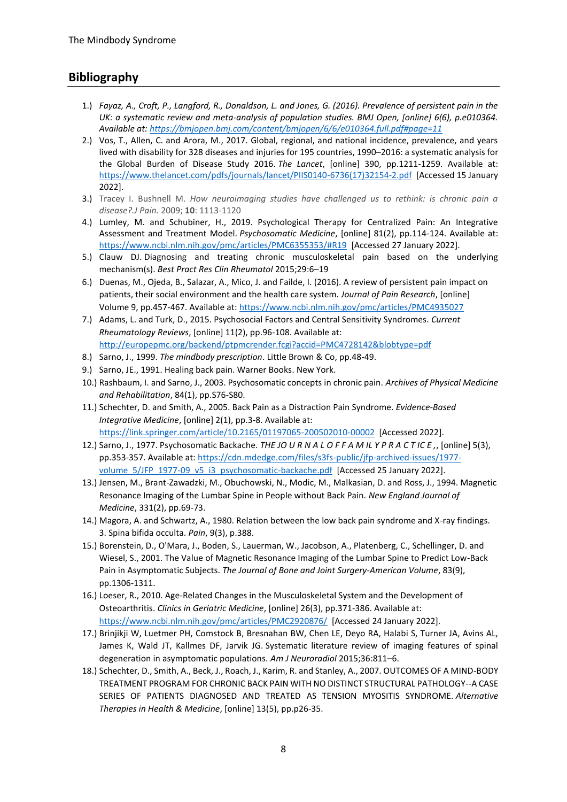#### **Bibliography**

- 1.) *Fayaz, A., Croft, P., Langford, R., Donaldson, L. and Jones, G. (2016). Prevalence of persistent pain in the*  UK: a systematic review and meta-analysis of population studies. BMJ Open, [online] 6(6), p.e010364. *Available at:<https://bmjopen.bmj.com/content/bmjopen/6/6/e010364.full.pdf#page=11>*
- 2.) Vos, T., Allen, C. and Arora, M., 2017. Global, regional, and national incidence, prevalence, and years lived with disability for 328 diseases and injuries for 195 countries, 1990–2016: a systematic analysis for the Global Burden of Disease Study 2016. *The Lancet*, [online] 390, pp.1211-1259. Available at: [https://www.thelancet.com/pdfs/journals/lancet/PIIS0140-6736\(17\)32154-2.pdf](https://www.thelancet.com/pdfs/journals/lancet/PIIS0140-6736(17)32154-2.pdf) [Accessed 15 January 2022].
- 3.) Tracey I. Bushnell M. *How neuroimaging studies have challenged us to rethink: is chronic pain a disease?.J Pain.* 2009; **10**: 1113-1120
- 4.) Lumley, M. and Schubiner, H., 2019. Psychological Therapy for Centralized Pain: An Integrative Assessment and Treatment Model. *Psychosomatic Medicine*, [online] 81(2), pp.114-124. Available at: <https://www.ncbi.nlm.nih.gov/pmc/articles/PMC6355353/#R19>[Accessed 27 January 2022].
- 5.) Clauw DJ. Diagnosing and treating chronic musculoskeletal pain based on the underlying mechanism(s). *Best Pract Res Clin Rheumatol* 2015;29:6–19
- 6.) Duenas, M., Ojeda, B., Salazar, A., Mico, J. and Failde, I. (2016). A review of persistent pain impact on patients, their social environment and the health care system. *Journal of Pain Research*, [online] Volume 9, pp.457-467. Available at:<https://www.ncbi.nlm.nih.gov/pmc/articles/PMC4935027>
- 7.) Adams, L. and Turk, D., 2015. Psychosocial Factors and Central Sensitivity Syndromes. *Current Rheumatology Reviews*, [online] 11(2), pp.96-108. Available at: <http://europepmc.org/backend/ptpmcrender.fcgi?accid=PMC4728142&blobtype=pdf>
- 8.) Sarno, J., 1999. *The mindbody prescription*. Little Brown & Co, pp.48-49.
- 9.) Sarno, JE., 1991. Healing back pain. Warner Books. New York.
- 10.) Rashbaum, I. and Sarno, J., 2003. Psychosomatic concepts in chronic pain. *Archives of Physical Medicine and Rehabilitation*, 84(1), pp.S76-S80.
- 11.) Schechter, D. and Smith, A., 2005. Back Pain as a Distraction Pain Syndrome. *Evidence-Based Integrative Medicine*, [online] 2(1), pp.3-8. Available at: <https://link.springer.com/article/10.2165/01197065-200502010-00002>[Accessed 2022].
- 12.) Sarno, J., 1977. Psychosomatic Backache. *THE JO U R N A L O F F A M IL Y P R A C T IC E ,*, [online] 5(3), pp.353-357. Available at: [https://cdn.mdedge.com/files/s3fs-public/jfp-archived-issues/1977](https://cdn.mdedge.com/files/s3fs-public/jfp-archived-issues/1977-volume_5/JFP_1977-09_v5_i3_psychosomatic-backache.pdf) [volume\\_5/JFP\\_1977-09\\_v5\\_i3\\_psychosomatic-backache.pdf](https://cdn.mdedge.com/files/s3fs-public/jfp-archived-issues/1977-volume_5/JFP_1977-09_v5_i3_psychosomatic-backache.pdf) [Accessed 25 January 2022].
- 13.) Jensen, M., Brant-Zawadzki, M., Obuchowski, N., Modic, M., Malkasian, D. and Ross, J., 1994. Magnetic Resonance Imaging of the Lumbar Spine in People without Back Pain. *New England Journal of Medicine*, 331(2), pp.69-73.
- 14.) Magora, A. and Schwartz, A., 1980. Relation between the low back pain syndrome and X-ray findings. 3. Spina bifida occulta. *Pain*, 9(3), p.388.
- 15.) Borenstein, D., O'Mara, J., Boden, S., Lauerman, W., Jacobson, A., Platenberg, C., Schellinger, D. and Wiesel, S., 2001. The Value of Magnetic Resonance Imaging of the Lumbar Spine to Predict Low-Back Pain in Asymptomatic Subjects. *The Journal of Bone and Joint Surgery-American Volume*, 83(9), pp.1306-1311.
- 16.) Loeser, R., 2010. Age-Related Changes in the Musculoskeletal System and the Development of Osteoarthritis. *Clinics in Geriatric Medicine*, [online] 26(3), pp.371-386. Available at: <https://www.ncbi.nlm.nih.gov/pmc/articles/PMC2920876/> [Accessed 24 January 2022].
- 17.) Brinjikji W, Luetmer PH, Comstock B, Bresnahan BW, Chen LE, Deyo RA, Halabi S, Turner JA, Avins AL, James K, Wald JT, Kallmes DF, Jarvik JG. Systematic literature review of imaging features of spinal degeneration in asymptomatic populations. *Am J Neuroradiol* 2015;36:811–6.
- 18.) Schechter, D., Smith, A., Beck, J., Roach, J., Karim, R. and Stanley, A., 2007. OUTCOMES OF A MIND-BODY TREATMENT PROGRAM FOR CHRONIC BACK PAIN WITH NO DISTINCT STRUCTURAL PATHOLOGY--A CASE SERIES OF PATIENTS DIAGNOSED AND TREATED AS TENSION MYOSITIS SYNDROME. *Alternative Therapies in Health & Medicine*, [online] 13(5), pp.p26-35.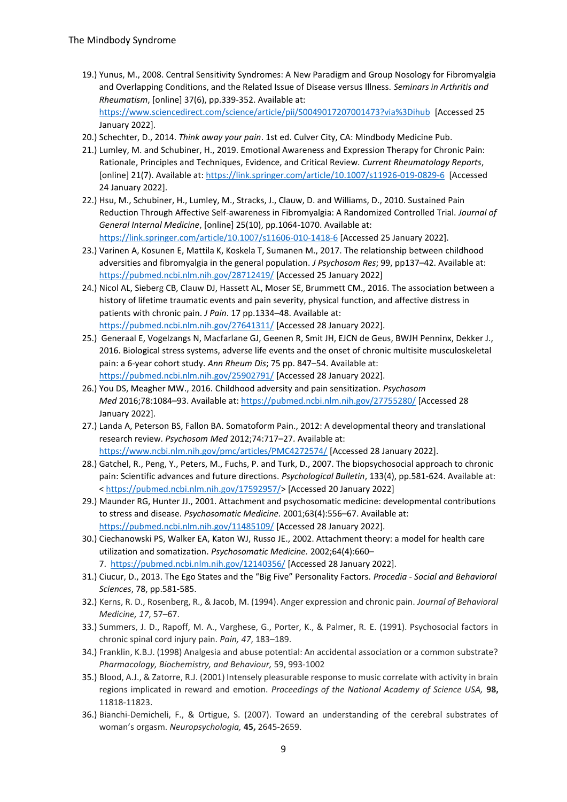- 19.) Yunus, M., 2008. Central Sensitivity Syndromes: A New Paradigm and Group Nosology for Fibromyalgia and Overlapping Conditions, and the Related Issue of Disease versus Illness. *Seminars in Arthritis and Rheumatism*, [online] 37(6), pp.339-352. Available at: <https://www.sciencedirect.com/science/article/pii/S0049017207001473?via%3Dihub>[Accessed 25 January 2022].
- 20.) Schechter, D., 2014. *Think away your pain*. 1st ed. Culver City, CA: Mindbody Medicine Pub.
- 21.) Lumley, M. and Schubiner, H., 2019. Emotional Awareness and Expression Therapy for Chronic Pain: Rationale, Principles and Techniques, Evidence, and Critical Review. *Current Rheumatology Reports*, [online] 21(7). Available at:<https://link.springer.com/article/10.1007/s11926-019-0829-6>[Accessed 24 January 2022].
- 22.) Hsu, M., Schubiner, H., Lumley, M., Stracks, J., Clauw, D. and Williams, D., 2010. Sustained Pain Reduction Through Affective Self-awareness in Fibromyalgia: A Randomized Controlled Trial. *Journal of General Internal Medicine*, [online] 25(10), pp.1064-1070. Available at: <https://link.springer.com/article/10.1007/s11606-010-1418-6> [Accessed 25 January 2022].
- 23.) Varinen A, Kosunen E, Mattila K, Koskela T, Sumanen M., 2017. The relationship between childhood adversities and fibromyalgia in the general population. *J Psychosom Res*; 99, pp137–42. Available at: <https://pubmed.ncbi.nlm.nih.gov/28712419/> [Accessed 25 January 2022]
- 24.) Nicol AL, Sieberg CB, Clauw DJ, Hassett AL, Moser SE, Brummett CM., 2016. The association between a history of lifetime traumatic events and pain severity, physical function, and affective distress in patients with chronic pain. *J Pain*. 17 pp.1334–48. Available at: <https://pubmed.ncbi.nlm.nih.gov/27641311/> [Accessed 28 January 2022].
- 25.) Generaal E, Vogelzangs N, Macfarlane GJ, Geenen R, Smit JH, EJCN de Geus, BWJH Penninx, Dekker J., 2016. Biological stress systems, adverse life events and the onset of chronic multisite musculoskeletal pain: a 6-year cohort study. *Ann Rheum Dis*; 75 pp. 847–54. Available at: <https://pubmed.ncbi.nlm.nih.gov/25902791/> [Accessed 28 January 2022].
- 26.) You DS, Meagher MW., 2016. Childhood adversity and pain sensitization. *Psychosom Med* 2016;78:1084–93. Available at:<https://pubmed.ncbi.nlm.nih.gov/27755280/> [Accessed 28 January 2022].
- 27.) Landa A, Peterson BS, Fallon BA. Somatoform Pain., 2012: A developmental theory and translational research review. *Psychosom Med* 2012;74:717–27. Available at: <https://www.ncbi.nlm.nih.gov/pmc/articles/PMC4272574/> [Accessed 28 January 2022].
- 28.) Gatchel, R., Peng, Y., Peters, M., Fuchs, P. and Turk, D., 2007. The biopsychosocial approach to chronic pain: Scientific advances and future directions. *Psychological Bulletin*, 133(4), pp.581-624. Available at: < [https://pubmed.ncbi.nlm.nih.gov/17592957/>](https://pubmed.ncbi.nlm.nih.gov/17592957/) [Accessed 20 January 2022]
- 29.) Maunder RG, Hunter JJ., 2001. Attachment and psychosomatic medicine: developmental contributions to stress and disease. *Psychosomatic Medicine.* 2001;63(4):556–67. Available at: <https://pubmed.ncbi.nlm.nih.gov/11485109/> [Accessed 28 January 2022].
- 30.) Ciechanowski PS, Walker EA, Katon WJ, Russo JE., 2002. Attachment theory: a model for health care utilization and somatization. *Psychosomatic Medicine.* 2002;64(4):660– 7. <https://pubmed.ncbi.nlm.nih.gov/12140356/> [Accessed 28 January 2022].
- 31.) Ciucur, D., 2013. The Ego States and the "Big Five" Personality Factors. *Procedia - Social and Behavioral Sciences*, 78, pp.581-585.
- 32.) Kerns, R. D., Rosenberg, R., & Jacob, M. (1994). Anger expression and chronic pain. *Journal of Behavioral Medicine, 17*, 57–67.
- 33.) Summers, J. D., Rapoff, M. A., Varghese, G., Porter, K., & Palmer, R. E. (1991). Psychosocial factors in chronic spinal cord injury pain. *Pain, 47*, 183–189.
- 34.) Franklin, K.B.J. (1998) Analgesia and abuse potential: An accidental association or a common substrate? *Pharmacology, Biochemistry, and Behaviour,* 59, 993-1002
- 35.) Blood, A.J., & Zatorre, R.J. (2001) Intensely pleasurable response to music correlate with activity in brain regions implicated in reward and emotion. *Proceedings of the National Academy of Science USA,* **98,**  11818-11823.
- 36.) Bianchi-Demicheli, F., & Ortigue, S. (2007). Toward an understanding of the cerebral substrates of woman's orgasm. *Neuropsychologia,* **45,** 2645-2659.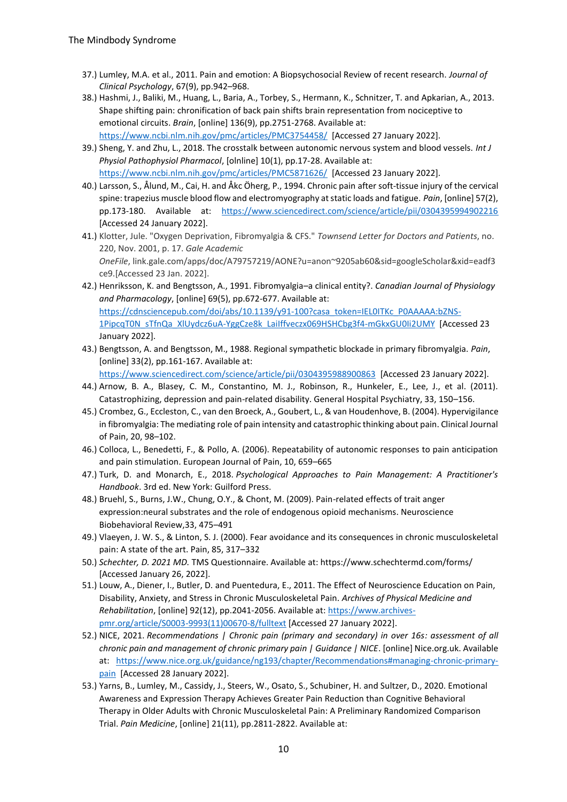- 37.) Lumley, M.A. et al., 2011. Pain and emotion: A Biopsychosocial Review of recent research. *Journal of Clinical Psychology*, 67(9), pp.942–968.
- 38.) Hashmi, J., Baliki, M., Huang, L., Baria, A., Torbey, S., Hermann, K., Schnitzer, T. and Apkarian, A., 2013. Shape shifting pain: chronification of back pain shifts brain representation from nociceptive to emotional circuits. *Brain*, [online] 136(9), pp.2751-2768. Available at: <https://www.ncbi.nlm.nih.gov/pmc/articles/PMC3754458/>[Accessed 27 January 2022].
- 39.) Sheng, Y. and Zhu, L., 2018. The crosstalk between autonomic nervous system and blood vessels. *Int J Physiol Pathophysiol Pharmacol*, [olnline] 10(1), pp.17-28. Available at: <https://www.ncbi.nlm.nih.gov/pmc/articles/PMC5871626/>[Accessed 23 January 2022].
- 40.) Larsson, S., Ålund, M., Cai, H. and Åkc Öherg, P., 1994. Chronic pain after soft-tissue injury of the cervical spine: trapezius muscle blood flow and electromyography at static loads and fatigue. *Pain*, [online] 57(2), pp.173-180. Available at: <https://www.sciencedirect.com/science/article/pii/0304395994902216> [Accessed 24 January 2022].
- 41.) Klotter, Jule. "Oxygen Deprivation, Fibromyalgia & CFS." *Townsend Letter for Doctors and Patients*, no. 220, Nov. 2001, p. 17. *Gale Academic OneFile*, link.gale.com/apps/doc/A79757219/AONE?u=anon~9205ab60&sid=googleScholar&xid=eadf3 ce9.[Accessed 23 Jan. 2022].
- 42.) Henriksson, K. and Bengtsson, A., 1991. Fibromyalgia–a clinical entity?. *Canadian Journal of Physiology and Pharmacology*, [online] 69(5), pp.672-677. Available at: [https://cdnsciencepub.com/doi/abs/10.1139/y91-100?casa\\_token=IEL0ITKc\\_P0AAAAA:bZNS-](https://cdnsciencepub.com/doi/abs/10.1139/y91-100?casa_token=IEL0ITKc_P0AAAAA:bZNS-1PipcqT0N_sTfnQa_XlUydcz6uA-YggCze8k_LaiIffveczx069HSHCbg3f4-mGkxGU0Ii2UMY)[1PipcqT0N\\_sTfnQa\\_XlUydcz6uA-YggCze8k\\_LaiIffveczx069HSHCbg3f4-mGkxGU0Ii2UMY](https://cdnsciencepub.com/doi/abs/10.1139/y91-100?casa_token=IEL0ITKc_P0AAAAA:bZNS-1PipcqT0N_sTfnQa_XlUydcz6uA-YggCze8k_LaiIffveczx069HSHCbg3f4-mGkxGU0Ii2UMY) [Accessed 23 January 2022].
- 43.) Bengtsson, A. and Bengtsson, M., 1988. Regional sympathetic blockade in primary fibromyalgia. *Pain*, [online] 33(2), pp.161-167. Available at:

<https://www.sciencedirect.com/science/article/pii/0304395988900863>[Accessed 23 January 2022].

- 44.) Arnow, B. A., Blasey, C. M., Constantino, M. J., Robinson, R., Hunkeler, E., Lee, J., et al. (2011). Catastrophizing, depression and pain-related disability. General Hospital Psychiatry, 33, 150–156.
- 45.) Crombez, G., Eccleston, C., van den Broeck, A., Goubert, L., & van Houdenhove, B. (2004). Hypervigilance in fibromyalgia: The mediating role of pain intensity and catastrophic thinking about pain. Clinical Journal of Pain, 20, 98–102.
- 46.) Colloca, L., Benedetti, F., & Pollo, A. (2006). Repeatability of autonomic responses to pain anticipation and pain stimulation. European Journal of Pain, 10, 659–665
- 47.) Turk, D. and Monarch, E., 2018. *Psychological Approaches to Pain Management: A Practitioner's Handbook*. 3rd ed. New York: Guilford Press.
- 48.) Bruehl, S., Burns, J.W., Chung, O.Y., & Chont, M. (2009). Pain-related effects of trait anger expression:neural substrates and the role of endogenous opioid mechanisms. Neuroscience Biobehavioral Review,33, 475–491
- 49.) Vlaeyen, J. W. S., & Linton, S. J. (2000). Fear avoidance and its consequences in chronic musculoskeletal pain: A state of the art. Pain, 85, 317–332
- 50.) *Schechter, D. 2021 MD.* TMS Questionnaire. Available at: https://www.schechtermd.com/forms/ [Accessed January 26, 2022].
- 51.) Louw, A., Diener, I., Butler, D. and Puentedura, E., 2011. The Effect of Neuroscience Education on Pain, Disability, Anxiety, and Stress in Chronic Musculoskeletal Pain. *Archives of Physical Medicine and Rehabilitation*, [online] 92(12), pp.2041-2056. Available at[: https://www.archives](https://www.archives-pmr.org/article/S0003-9993(11)00670-8/fulltext)[pmr.org/article/S0003-9993\(11\)00670-8/fulltext](https://www.archives-pmr.org/article/S0003-9993(11)00670-8/fulltext) [Accessed 27 January 2022].
- 52.) NICE, 2021. *Recommendations | Chronic pain (primary and secondary) in over 16s: assessment of all chronic pain and management of chronic primary pain | Guidance | NICE*. [online] Nice.org.uk. Available at: [https://www.nice.org.uk/guidance/ng193/chapter/Recommendations#managing-chronic-primary](https://www.nice.org.uk/guidance/ng193/chapter/Recommendations#managing-chronic-primary-pain)[pain](https://www.nice.org.uk/guidance/ng193/chapter/Recommendations#managing-chronic-primary-pain) [Accessed 28 January 2022].
- 53.) Yarns, B., Lumley, M., Cassidy, J., Steers, W., Osato, S., Schubiner, H. and Sultzer, D., 2020. Emotional Awareness and Expression Therapy Achieves Greater Pain Reduction than Cognitive Behavioral Therapy in Older Adults with Chronic Musculoskeletal Pain: A Preliminary Randomized Comparison Trial. *Pain Medicine*, [online] 21(11), pp.2811-2822. Available at: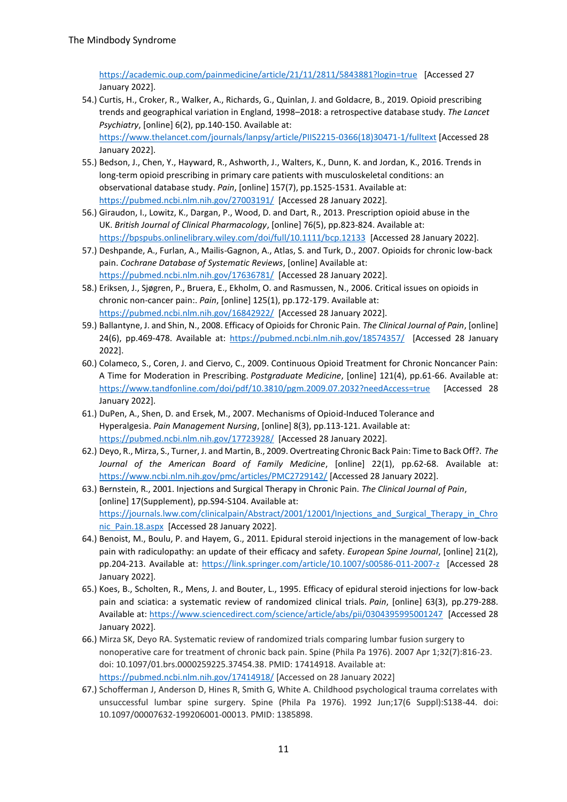<https://academic.oup.com/painmedicine/article/21/11/2811/5843881?login=true>[Accessed 27 January 2022].

- 54.) Curtis, H., Croker, R., Walker, A., Richards, G., Quinlan, J. and Goldacre, B., 2019. Opioid prescribing trends and geographical variation in England, 1998–2018: a retrospective database study. *The Lancet Psychiatry*, [online] 6(2), pp.140-150. Available at: [https://www.thelancet.com/journals/lanpsy/article/PIIS2215-0366\(18\)30471-1/fulltext](https://www.thelancet.com/journals/lanpsy/article/PIIS2215-0366(18)30471-1/fulltext) [Accessed 28 January 2022].
- 55.) Bedson, J., Chen, Y., Hayward, R., Ashworth, J., Walters, K., Dunn, K. and Jordan, K., 2016. Trends in long-term opioid prescribing in primary care patients with musculoskeletal conditions: an observational database study. *Pain*, [online] 157(7), pp.1525-1531. Available at: <https://pubmed.ncbi.nlm.nih.gov/27003191/>[Accessed 28 January 2022].
- 56.) Giraudon, I., Lowitz, K., Dargan, P., Wood, D. and Dart, R., 2013. Prescription opioid abuse in the UK. *British Journal of Clinical Pharmacology*, [online] 76(5), pp.823-824. Available at: <https://bpspubs.onlinelibrary.wiley.com/doi/full/10.1111/bcp.12133>[Accessed 28 January 2022].
- 57.) Deshpande, A., Furlan, A., Mailis-Gagnon, A., Atlas, S. and Turk, D., 2007. Opioids for chronic low-back pain. *Cochrane Database of Systematic Reviews*, [online] Available at: <https://pubmed.ncbi.nlm.nih.gov/17636781/>[Accessed 28 January 2022].
- 58.) Eriksen, J., Sjøgren, P., Bruera, E., Ekholm, O. and Rasmussen, N., 2006. Critical issues on opioids in chronic non-cancer pain:. *Pain*, [online] 125(1), pp.172-179. Available at: <https://pubmed.ncbi.nlm.nih.gov/16842922/>[Accessed 28 January 2022].
- 59.) Ballantyne, J. and Shin, N., 2008. Efficacy of Opioids for Chronic Pain. *The Clinical Journal of Pain*, [online] 24(6), pp.469-478. Available at:<https://pubmed.ncbi.nlm.nih.gov/18574357/>[Accessed 28 January 2022].
- 60.) Colameco, S., Coren, J. and Ciervo, C., 2009. Continuous Opioid Treatment for Chronic Noncancer Pain: A Time for Moderation in Prescribing. *Postgraduate Medicine*, [online] 121(4), pp.61-66. Available at: <https://www.tandfonline.com/doi/pdf/10.3810/pgm.2009.07.2032?needAccess=true>[Accessed 28 January 2022].
- 61.) DuPen, A., Shen, D. and Ersek, M., 2007. Mechanisms of Opioid-Induced Tolerance and Hyperalgesia. *Pain Management Nursing*, [online] 8(3), pp.113-121. Available at: <https://pubmed.ncbi.nlm.nih.gov/17723928/>[Accessed 28 January 2022].
- 62.) Deyo, R., Mirza, S., Turner, J. and Martin, B., 2009. Overtreating Chronic Back Pain: Time to Back Off?. *The Journal of the American Board of Family Medicine*, [online] 22(1), pp.62-68. Available at: <https://www.ncbi.nlm.nih.gov/pmc/articles/PMC2729142/> [Accessed 28 January 2022].
- 63.) Bernstein, R., 2001. Injections and Surgical Therapy in Chronic Pain. *The Clinical Journal of Pain*, [online] 17(Supplement), pp. S94-S104. Available at: [https://journals.lww.com/clinicalpain/Abstract/2001/12001/Injections\\_and\\_Surgical\\_Therapy\\_in\\_Chro](https://journals.lww.com/clinicalpain/Abstract/2001/12001/Injections_and_Surgical_Therapy_in_Chronic_Pain.18.aspx) [nic\\_Pain.18.aspx](https://journals.lww.com/clinicalpain/Abstract/2001/12001/Injections_and_Surgical_Therapy_in_Chronic_Pain.18.aspx) [Accessed 28 January 2022].
- 64.) Benoist, M., Boulu, P. and Hayem, G., 2011. Epidural steroid injections in the management of low-back pain with radiculopathy: an update of their efficacy and safety. *European Spine Journal*, [online] 21(2), pp.204-213. Available at:<https://link.springer.com/article/10.1007/s00586-011-2007-z>[Accessed 28 January 2022].
- 65.) Koes, B., Scholten, R., Mens, J. and Bouter, L., 1995. Efficacy of epidural steroid injections for low-back pain and sciatica: a systematic review of randomized clinical trials. *Pain*, [online] 63(3), pp.279-288. Available at:<https://www.sciencedirect.com/science/article/abs/pii/0304395995001247>[Accessed 28 January 2022].
- 66.) Mirza SK, Deyo RA. Systematic review of randomized trials comparing lumbar fusion surgery to nonoperative care for treatment of chronic back pain. Spine (Phila Pa 1976). 2007 Apr 1;32(7):816-23. doi: 10.1097/01.brs.0000259225.37454.38. PMID: 17414918. Available at: <https://pubmed.ncbi.nlm.nih.gov/17414918/> [Accessed on 28 January 2022]
- 67.) Schofferman J, Anderson D, Hines R, Smith G, White A. Childhood psychological trauma correlates with unsuccessful lumbar spine surgery. Spine (Phila Pa 1976). 1992 Jun;17(6 Suppl):S138-44. doi: 10.1097/00007632-199206001-00013. PMID: 1385898.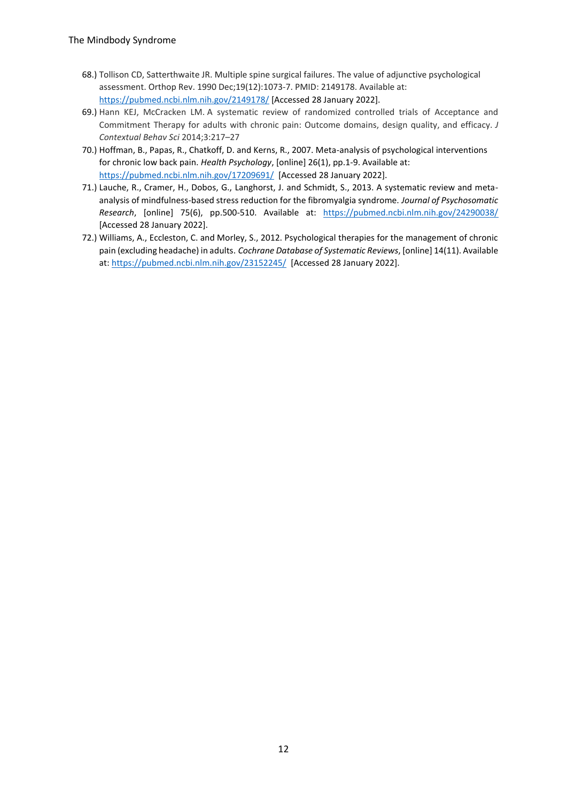- 68.) Tollison CD, Satterthwaite JR. Multiple spine surgical failures. The value of adjunctive psychological assessment. Orthop Rev. 1990 Dec;19(12):1073-7. PMID: 2149178. Available at: <https://pubmed.ncbi.nlm.nih.gov/2149178/> [Accessed 28 January 2022].
- 69.) Hann KEJ, McCracken LM. A systematic review of randomized controlled trials of Acceptance and Commitment Therapy for adults with chronic pain: Outcome domains, design quality, and efficacy. *J Contextual Behav Sci* 2014;3:217–27
- 70.) Hoffman, B., Papas, R., Chatkoff, D. and Kerns, R., 2007. Meta-analysis of psychological interventions for chronic low back pain. *Health Psychology*, [online] 26(1), pp.1-9. Available at: <https://pubmed.ncbi.nlm.nih.gov/17209691/>[Accessed 28 January 2022].
- 71.) Lauche, R., Cramer, H., Dobos, G., Langhorst, J. and Schmidt, S., 2013. A systematic review and metaanalysis of mindfulness-based stress reduction for the fibromyalgia syndrome. *Journal of Psychosomatic Research*, [online] 75(6), pp.500-510. Available at: <https://pubmed.ncbi.nlm.nih.gov/24290038/> [Accessed 28 January 2022].
- 72.) Williams, A., Eccleston, C. and Morley, S., 2012. Psychological therapies for the management of chronic pain (excluding headache) in adults. *Cochrane Database of Systematic Reviews*, [online] 14(11). Available at:<https://pubmed.ncbi.nlm.nih.gov/23152245/>[Accessed 28 January 2022].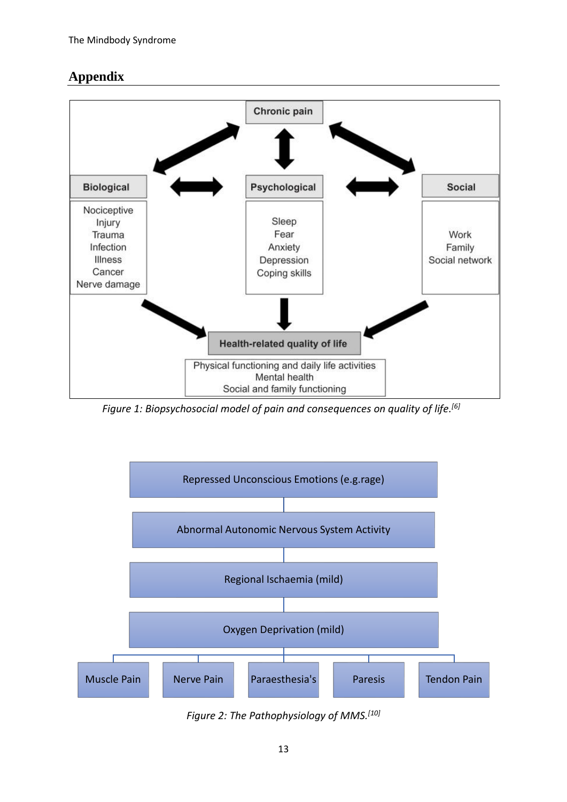# **Appendix**



*Figure 1: Biopsychosocial model of pain and consequences on quality of life. [6]*



*Figure 2: The Pathophysiology of MMS. [10]*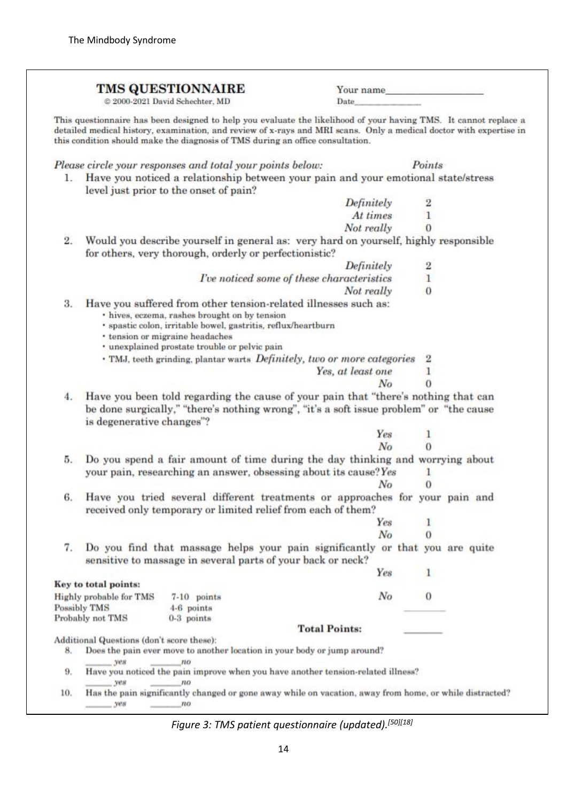|     |                                                                                                                                                        | <b>TMS QUESTIONNAIRE</b>                                                                                                                                                                                                                                                                                                 | Your name                                 |               |  |  |
|-----|--------------------------------------------------------------------------------------------------------------------------------------------------------|--------------------------------------------------------------------------------------------------------------------------------------------------------------------------------------------------------------------------------------------------------------------------------------------------------------------------|-------------------------------------------|---------------|--|--|
|     |                                                                                                                                                        | @ 2000-2021 David Schechter, MD                                                                                                                                                                                                                                                                                          | Date                                      |               |  |  |
|     |                                                                                                                                                        | This questionnaire has been designed to help you evaluate the likelihood of your having TMS. It cannot replace a<br>detailed medical history, examination, and review of x-rays and MRI scans. Only a medical doctor with expertise in<br>this condition should make the diagnosis of TMS during an office consultation. |                                           |               |  |  |
|     |                                                                                                                                                        | Please circle your responses and total your points below:                                                                                                                                                                                                                                                                |                                           | Points        |  |  |
|     |                                                                                                                                                        | 1. Have you noticed a relationship between your pain and your emotional state/stress                                                                                                                                                                                                                                     |                                           |               |  |  |
|     |                                                                                                                                                        | level just prior to the onset of pain?                                                                                                                                                                                                                                                                                   |                                           |               |  |  |
|     |                                                                                                                                                        |                                                                                                                                                                                                                                                                                                                          | Definitely                                | 2             |  |  |
|     |                                                                                                                                                        |                                                                                                                                                                                                                                                                                                                          | At times                                  | 1             |  |  |
|     |                                                                                                                                                        |                                                                                                                                                                                                                                                                                                                          | Not really                                | 0             |  |  |
| 2.  |                                                                                                                                                        | Would you describe yourself in general as: very hard on yourself, highly responsible<br>for others, very thorough, orderly or perfectionistic?                                                                                                                                                                           |                                           |               |  |  |
|     |                                                                                                                                                        |                                                                                                                                                                                                                                                                                                                          | Definitely                                |               |  |  |
|     |                                                                                                                                                        |                                                                                                                                                                                                                                                                                                                          | Tve noticed some of these characteristics | $\frac{2}{1}$ |  |  |
|     |                                                                                                                                                        |                                                                                                                                                                                                                                                                                                                          | Not really                                | $\bf{0}$      |  |  |
| 3.  |                                                                                                                                                        | Have you suffered from other tension-related illnesses such as:<br>· hives, eczema, rashes brought on by tension<br>· spastic colon, irritable bowel, gastritis, reflux/heartburn<br>* tension or migraine headaches<br>· unexplained prostate trouble or pelvic pain                                                    |                                           |               |  |  |
|     |                                                                                                                                                        | . TMJ, teeth grinding, plantar warts Definitely, two or more categories                                                                                                                                                                                                                                                  |                                           |               |  |  |
|     |                                                                                                                                                        |                                                                                                                                                                                                                                                                                                                          | Yes, at least one                         | 1             |  |  |
|     |                                                                                                                                                        |                                                                                                                                                                                                                                                                                                                          | No                                        | $\Omega$      |  |  |
| 4.  | is degenerative changes"?                                                                                                                              | Have you been told regarding the cause of your pain that "there's nothing that can<br>be done surgically," "there's nothing wrong", "it's a soft issue problem" or "the cause                                                                                                                                            | Yes                                       | 1             |  |  |
|     |                                                                                                                                                        |                                                                                                                                                                                                                                                                                                                          | No                                        | O             |  |  |
| 5.  | Do you spend a fair amount of time during the day thinking and worrying about<br>your pain, researching an answer, obsessing about its cause? Yes<br>1 |                                                                                                                                                                                                                                                                                                                          |                                           |               |  |  |
|     |                                                                                                                                                        |                                                                                                                                                                                                                                                                                                                          | No                                        | 0             |  |  |
| 6.  |                                                                                                                                                        | Have you tried several different treatments or approaches for your pain and<br>received only temporary or limited relief from each of them?                                                                                                                                                                              |                                           |               |  |  |
|     |                                                                                                                                                        |                                                                                                                                                                                                                                                                                                                          | Yes                                       | 1             |  |  |
|     |                                                                                                                                                        |                                                                                                                                                                                                                                                                                                                          | No                                        | $\Omega$      |  |  |
| 7.  |                                                                                                                                                        | Do you find that massage helps your pain significantly or that you are quite<br>sensitive to massage in several parts of your back or neck?                                                                                                                                                                              |                                           |               |  |  |
|     |                                                                                                                                                        |                                                                                                                                                                                                                                                                                                                          | Yes                                       | 1             |  |  |
|     | Key to total points:                                                                                                                                   |                                                                                                                                                                                                                                                                                                                          |                                           |               |  |  |
|     | Highly probable for TMS                                                                                                                                | 7-10 points                                                                                                                                                                                                                                                                                                              | $N_{O}$                                   | $\theta$      |  |  |
|     | Possibly TMS<br>Probably not TMS                                                                                                                       | 4-6 points<br>0-3 points                                                                                                                                                                                                                                                                                                 |                                           |               |  |  |
|     |                                                                                                                                                        |                                                                                                                                                                                                                                                                                                                          | <b>Total Points:</b>                      |               |  |  |
|     | Additional Questions (don't score these):                                                                                                              |                                                                                                                                                                                                                                                                                                                          |                                           |               |  |  |
| 8.  | <b>yes</b>                                                                                                                                             | Does the pain ever move to another location in your body or jump around?                                                                                                                                                                                                                                                 |                                           |               |  |  |
| 9.  | Have you noticed the pain improve when you have another tension-related illness?<br>yes.<br>no                                                         |                                                                                                                                                                                                                                                                                                                          |                                           |               |  |  |
| 10. | $  yes$                                                                                                                                                | Has the pain significantly changed or gone away while on vacation, away from home, or while distracted?<br>no                                                                                                                                                                                                            |                                           |               |  |  |

*Figure 3: TMS patient questionnaire (updated).[50][18]*